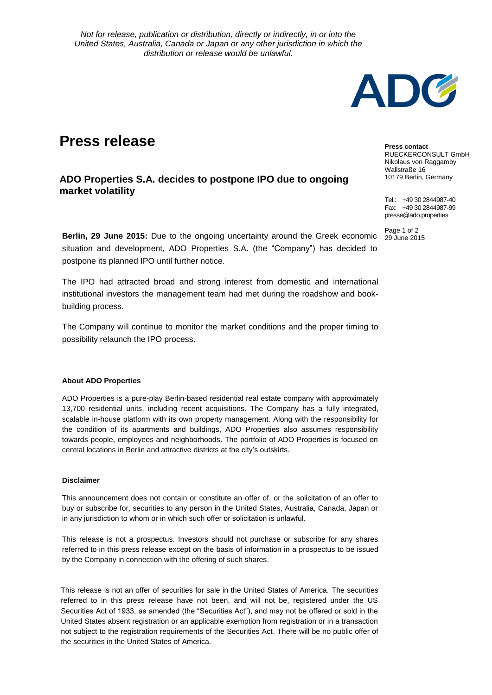*Not for release, publication or distribution, directly or indirectly, in or into the United States, Australia, Canada or Japan or any other jurisdiction in which the distribution or release would be unlawful.*

## **Press release**

**ADO Properties S.A. decides to postpone IPO due to ongoing market volatility**

**Berlin, 29 June 2015:** Due to the ongoing uncertainty around the Greek economic situation and development, ADO Properties S.A. (the "Company") has decided to postpone its planned IPO until further notice.

The IPO had attracted broad and strong interest from domestic and international institutional investors the management team had met during the roadshow and bookbuilding process.

The Company will continue to monitor the market conditions and the proper timing to possibility relaunch the IPO process.

## **About ADO Properties**

ADO Properties is a pure-play Berlin-based residential real estate company with approximately 13,700 residential units, including recent acquisitions. The Company has a fully integrated, scalable in-house platform with its own property management. Along with the responsibility for the condition of its apartments and buildings, ADO Properties also assumes responsibility towards people, employees and neighborhoods. The portfolio of ADO Properties is focused on central locations in Berlin and attractive districts at the city's outskirts.

## **Disclaimer**

This announcement does not contain or constitute an offer of, or the solicitation of an offer to buy or subscribe for, securities to any person in the United States, Australia, Canada, Japan or in any jurisdiction to whom or in which such offer or solicitation is unlawful.

This release is not a prospectus. Investors should not purchase or subscribe for any shares referred to in this press release except on the basis of information in a prospectus to be issued by the Company in connection with the offering of such shares.

This release is not an offer of securities for sale in the United States of America. The securities referred to in this press release have not been, and will not be, registered under the US Securities Act of 1933, as amended (the "Securities Act"), and may not be offered or sold in the United States absent registration or an applicable exemption from registration or in a transaction not subject to the registration requirements of the Securities Act. There will be no public offer of the securities in the United States of America.



**Press contact** RUECKERCONSULT GmbH Nikolaus von Raggamby Wallstraße 16 10179 Berlin, Germany

Tel.: +49 30 2844987-40 Fax: +49 30 2844987-99 presse@ado.properties

Page 1 of 2<br>29 June 2015